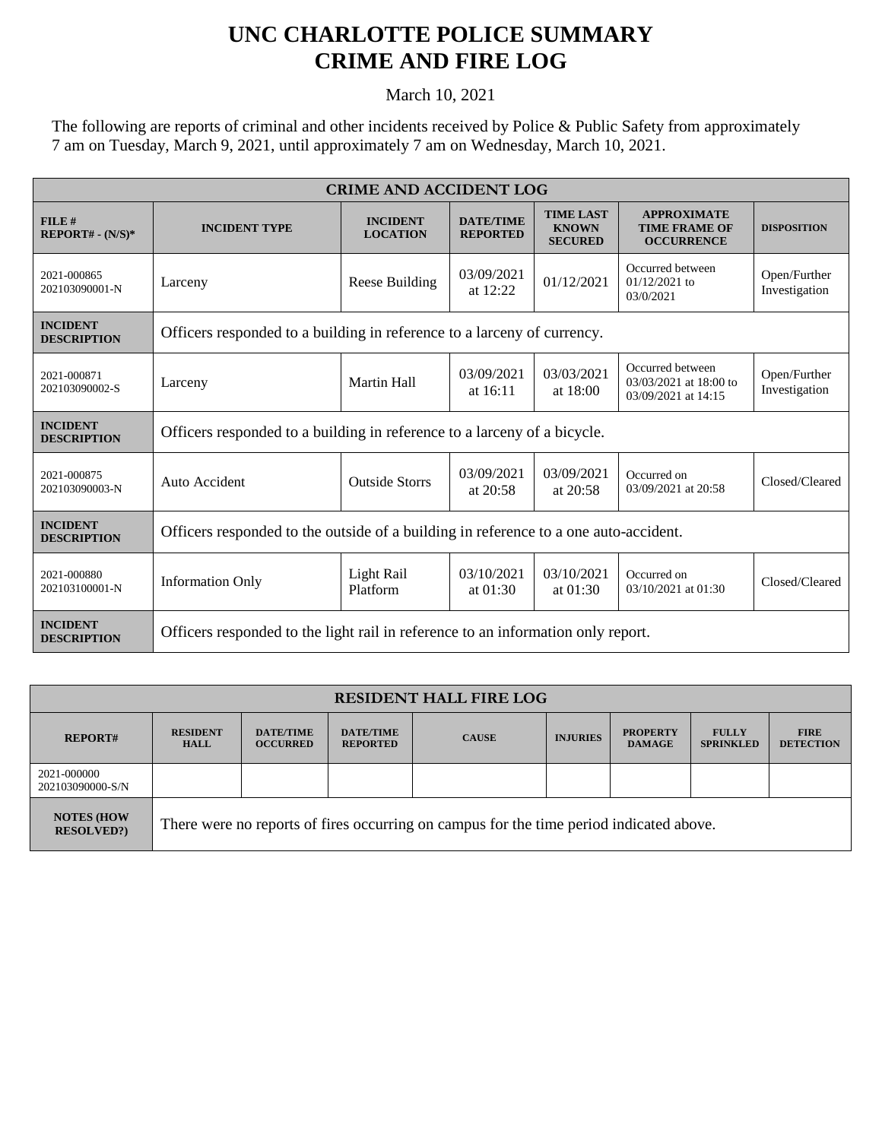## **UNC CHARLOTTE POLICE SUMMARY CRIME AND FIRE LOG**

March 10, 2021

The following are reports of criminal and other incidents received by Police & Public Safety from approximately 7 am on Tuesday, March 9, 2021, until approximately 7 am on Wednesday, March 10, 2021.

| <b>CRIME AND ACCIDENT LOG</b>         |                                                                                      |                                    |                                     |                                                    |                                                                   |                               |  |
|---------------------------------------|--------------------------------------------------------------------------------------|------------------------------------|-------------------------------------|----------------------------------------------------|-------------------------------------------------------------------|-------------------------------|--|
| FILE#<br>$REPORT# - (N/S)*$           | <b>INCIDENT TYPE</b>                                                                 | <b>INCIDENT</b><br><b>LOCATION</b> | <b>DATE/TIME</b><br><b>REPORTED</b> | <b>TIME LAST</b><br><b>KNOWN</b><br><b>SECURED</b> | <b>APPROXIMATE</b><br><b>TIME FRAME OF</b><br><b>OCCURRENCE</b>   | <b>DISPOSITION</b>            |  |
| 2021-000865<br>202103090001-N         | Larceny                                                                              | Reese Building                     | 03/09/2021<br>at $12:22$            | 01/12/2021                                         | Occurred between<br>$01/12/2021$ to<br>03/0/2021                  | Open/Further<br>Investigation |  |
| <b>INCIDENT</b><br><b>DESCRIPTION</b> | Officers responded to a building in reference to a larceny of currency.              |                                    |                                     |                                                    |                                                                   |                               |  |
| 2021-000871<br>202103090002-S         | Larceny                                                                              | <b>Martin Hall</b>                 | 03/09/2021<br>at 16:11              | 03/03/2021<br>at 18:00                             | Occurred between<br>03/03/2021 at 18:00 to<br>03/09/2021 at 14:15 | Open/Further<br>Investigation |  |
| <b>INCIDENT</b><br><b>DESCRIPTION</b> | Officers responded to a building in reference to a larceny of a bicycle.             |                                    |                                     |                                                    |                                                                   |                               |  |
| 2021-000875<br>202103090003-N         | Auto Accident                                                                        | <b>Outside Storrs</b>              | 03/09/2021<br>at $20:58$            | 03/09/2021<br>at 20:58                             | Occurred on<br>03/09/2021 at 20:58                                | Closed/Cleared                |  |
| <b>INCIDENT</b><br><b>DESCRIPTION</b> | Officers responded to the outside of a building in reference to a one auto-accident. |                                    |                                     |                                                    |                                                                   |                               |  |
| 2021-000880<br>202103100001-N         | <b>Information Only</b>                                                              | Light Rail<br>Platform             | 03/10/2021<br>at 01:30              | 03/10/2021<br>at $01:30$                           | Occurred on<br>03/10/2021 at 01:30                                | Closed/Cleared                |  |
| <b>INCIDENT</b><br><b>DESCRIPTION</b> | Officers responded to the light rail in reference to an information only report.     |                                    |                                     |                                                    |                                                                   |                               |  |

| <b>RESIDENT HALL FIRE LOG</b>          |                                                                                         |                                     |                                     |              |                 |                                  |                                  |                                 |
|----------------------------------------|-----------------------------------------------------------------------------------------|-------------------------------------|-------------------------------------|--------------|-----------------|----------------------------------|----------------------------------|---------------------------------|
| <b>REPORT#</b>                         | <b>RESIDENT</b><br><b>HALL</b>                                                          | <b>DATE/TIME</b><br><b>OCCURRED</b> | <b>DATE/TIME</b><br><b>REPORTED</b> | <b>CAUSE</b> | <b>INJURIES</b> | <b>PROPERTY</b><br><b>DAMAGE</b> | <b>FULLY</b><br><b>SPRINKLED</b> | <b>FIRE</b><br><b>DETECTION</b> |
| 2021-000000<br>202103090000-S/N        |                                                                                         |                                     |                                     |              |                 |                                  |                                  |                                 |
| <b>NOTES (HOW</b><br><b>RESOLVED?)</b> | There were no reports of fires occurring on campus for the time period indicated above. |                                     |                                     |              |                 |                                  |                                  |                                 |